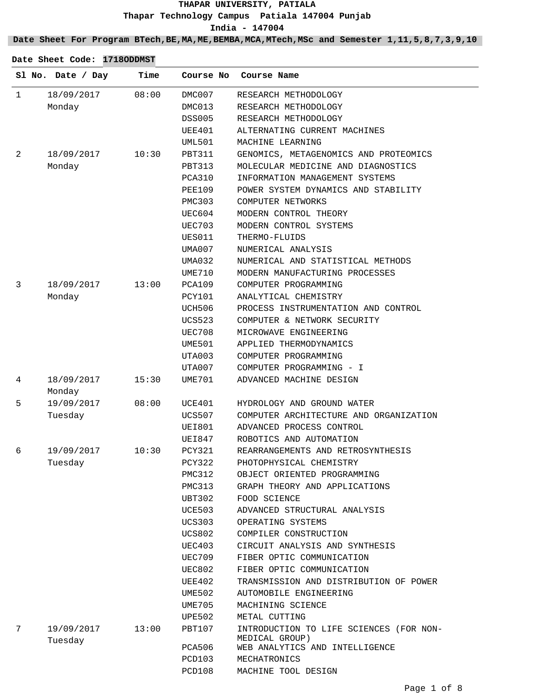**Date Sheet For Program BTech,BE,MA,ME,BEMBA,MCA,MTech,MSc and Semester 1,11,5,8,7,3,9,10**

|              | Sl No. Date / Day     | Time  | Course No     | Course Name                                               |
|--------------|-----------------------|-------|---------------|-----------------------------------------------------------|
| $\mathbf{1}$ | 18/09/2017            | 08:00 | DMC007        | RESEARCH METHODOLOGY                                      |
|              | Monday                |       | DMC013        | RESEARCH METHODOLOGY                                      |
|              |                       |       | <b>DSS005</b> | RESEARCH METHODOLOGY                                      |
|              |                       |       | UEE401        | ALTERNATING CURRENT MACHINES                              |
|              |                       |       | <b>UML501</b> | MACHINE LEARNING                                          |
| 2            | 18/09/2017            | 10:30 | <b>PBT311</b> | GENOMICS, METAGENOMICS AND PROTEOMICS                     |
|              | Monday                |       | PBT313        | MOLECULAR MEDICINE AND DIAGNOSTICS                        |
|              |                       |       | PCA310        | INFORMATION MANAGEMENT SYSTEMS                            |
|              |                       |       | <b>PEE109</b> | POWER SYSTEM DYNAMICS AND STABILITY                       |
|              |                       |       | <b>PMC303</b> | COMPUTER NETWORKS                                         |
|              |                       |       | UEC604        | MODERN CONTROL THEORY                                     |
|              |                       |       | <b>UEC703</b> | MODERN CONTROL SYSTEMS                                    |
|              |                       |       | UES011        | THERMO-FLUIDS                                             |
|              |                       |       | UMA007        | NUMERICAL ANALYSIS                                        |
|              |                       |       | <b>UMA032</b> | NUMERICAL AND STATISTICAL METHODS                         |
|              |                       |       | <b>UME710</b> | MODERN MANUFACTURING PROCESSES                            |
| 3            | 18/09/2017            | 13:00 | PCA109        | COMPUTER PROGRAMMING                                      |
|              | Monday                |       | <b>PCY101</b> | ANALYTICAL CHEMISTRY                                      |
|              |                       |       | <b>UCH506</b> | PROCESS INSTRUMENTATION AND CONTROL                       |
|              |                       |       | <b>UCS523</b> | COMPUTER & NETWORK SECURITY                               |
|              |                       |       | UEC708        | MICROWAVE ENGINEERING                                     |
|              |                       |       | UME501        | APPLIED THERMODYNAMICS                                    |
|              |                       |       | UTA003        | COMPUTER PROGRAMMING                                      |
|              |                       |       | UTA007        | COMPUTER PROGRAMMING - I                                  |
| 4            | 18/09/2017<br>Monday  | 15:30 | UME701        | ADVANCED MACHINE DESIGN                                   |
| 5            | 19/09/2017            | 08:00 | UCE401        | HYDROLOGY AND GROUND WATER                                |
|              | Tuesday               |       | <b>UCS507</b> | COMPUTER ARCHITECTURE AND ORGANIZATION                    |
|              |                       |       | <b>UEI801</b> | ADVANCED PROCESS CONTROL                                  |
|              |                       |       | UEI847        | ROBOTICS AND AUTOMATION                                   |
| 6            | 19/09/2017            | 10:30 | <b>PCY321</b> | REARRANGEMENTS AND RETROSYNTHESIS                         |
|              | Tuesday               |       | PCY322        | PHOTOPHYSICAL CHEMISTRY                                   |
|              |                       |       | PMC312        | OBJECT ORIENTED PROGRAMMING                               |
|              |                       |       | PMC313        | GRAPH THEORY AND APPLICATIONS                             |
|              |                       |       | UBT302        | FOOD SCIENCE                                              |
|              |                       |       | UCE503        | ADVANCED STRUCTURAL ANALYSIS                              |
|              |                       |       | UCS303        | OPERATING SYSTEMS                                         |
|              |                       |       | UCS802        | COMPILER CONSTRUCTION                                     |
|              |                       |       | UEC403        | CIRCUIT ANALYSIS AND SYNTHESIS                            |
|              |                       |       | UEC709        | FIBER OPTIC COMMUNICATION                                 |
|              |                       |       | UEC802        | FIBER OPTIC COMMUNICATION                                 |
|              |                       |       | UEE402        | TRANSMISSION AND DISTRIBUTION OF POWER                    |
|              |                       |       | UME502        | AUTOMOBILE ENGINEERING                                    |
|              |                       |       | UME705        | MACHINING SCIENCE                                         |
|              |                       |       | UPE502        | METAL CUTTING                                             |
| 7            | 19/09/2017<br>Tuesday | 13:00 | PBT107        | INTRODUCTION TO LIFE SCIENCES (FOR NON-<br>MEDICAL GROUP) |
|              |                       |       | PCA506        | WEB ANALYTICS AND INTELLIGENCE                            |
|              |                       |       | PCD103        | MECHATRONICS                                              |
|              |                       |       | PCD108        | MACHINE TOOL DESIGN                                       |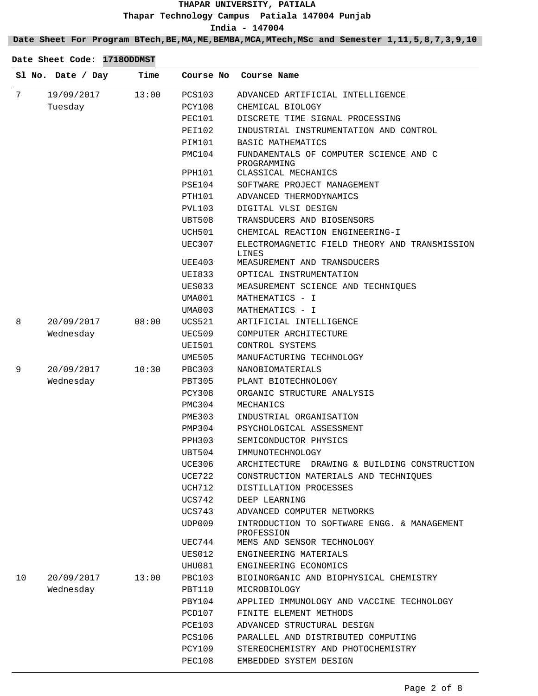## **Date Sheet For Program BTech,BE,MA,ME,BEMBA,MCA,MTech,MSc and Semester 1,11,5,8,7,3,9,10**

|    | Sl No. Date / Day | Time  | Course No     | Course Name                                               |
|----|-------------------|-------|---------------|-----------------------------------------------------------|
| 7  | 19/09/2017        | 13:00 | PCS103        | ADVANCED ARTIFICIAL INTELLIGENCE                          |
|    | Tuesday           |       | PCY108        | CHEMICAL BIOLOGY                                          |
|    |                   |       | PEC101        | DISCRETE TIME SIGNAL PROCESSING                           |
|    |                   |       | PEI102        | INDUSTRIAL INSTRUMENTATION AND CONTROL                    |
|    |                   |       | PIM101        | BASIC MATHEMATICS                                         |
|    |                   |       | PMC104        | FUNDAMENTALS OF COMPUTER SCIENCE AND C<br>PROGRAMMING     |
|    |                   |       | PPH101        | CLASSICAL MECHANICS                                       |
|    |                   |       | PSE104        | SOFTWARE PROJECT MANAGEMENT                               |
|    |                   |       | PTH101        | ADVANCED THERMODYNAMICS                                   |
|    |                   |       | PVL103        | DIGITAL VLSI DESIGN                                       |
|    |                   |       | UBT508        | TRANSDUCERS AND BIOSENSORS                                |
|    |                   |       | UCH501        | CHEMICAL REACTION ENGINEERING-I                           |
|    |                   |       | UEC307        | ELECTROMAGNETIC FIELD THEORY AND TRANSMISSION<br>LINES    |
|    |                   |       | UEE403        | MEASUREMENT AND TRANSDUCERS                               |
|    |                   |       | UEI833        | OPTICAL INSTRUMENTATION                                   |
|    |                   |       | UES033        | MEASUREMENT SCIENCE AND TECHNIQUES                        |
|    |                   |       | UMA001        | MATHEMATICS - I                                           |
|    |                   |       | UMA003        | MATHEMATICS - I                                           |
| 8  | 20/09/2017        | 08:00 | UCS521        | ARTIFICIAL INTELLIGENCE                                   |
|    | Wednesday         |       | UEC509        | COMPUTER ARCHITECTURE                                     |
|    |                   |       | UEI501        | CONTROL SYSTEMS                                           |
|    |                   |       | UME505        | MANUFACTURING TECHNOLOGY                                  |
| 9  | 20/09/2017        | 10:30 | PBC303        | NANOBIOMATERIALS                                          |
|    | Wednesday         |       | PBT305        | PLANT BIOTECHNOLOGY                                       |
|    |                   |       | PCY308        | ORGANIC STRUCTURE ANALYSIS                                |
|    |                   |       | PMC304        | MECHANICS                                                 |
|    |                   |       | <b>PME303</b> | INDUSTRIAL ORGANISATION                                   |
|    |                   |       | PMP304        | PSYCHOLOGICAL ASSESSMENT                                  |
|    |                   |       | PPH303        | SEMICONDUCTOR PHYSICS                                     |
|    |                   |       | UBT504        | IMMUNOTECHNOLOGY                                          |
|    |                   |       | <b>UCE306</b> | ARCHITECTURE DRAWING & BUILDING CONSTRUCTION              |
|    |                   |       | <b>UCE722</b> | CONSTRUCTION MATERIALS AND TECHNIQUES                     |
|    |                   |       | UCH712        | DISTILLATION PROCESSES                                    |
|    |                   |       | UCS742        | DEEP LEARNING                                             |
|    |                   |       | UCS743        | ADVANCED COMPUTER NETWORKS                                |
|    |                   |       | UDP009        | INTRODUCTION TO SOFTWARE ENGG. & MANAGEMENT<br>PROFESSION |
|    |                   |       | UEC744        | MEMS AND SENSOR TECHNOLOGY                                |
|    |                   |       | UES012        | ENGINEERING MATERIALS                                     |
|    |                   |       | UHU081        | ENGINEERING ECONOMICS                                     |
| 10 | 20/09/2017        | 13:00 | <b>PBC103</b> | BIOINORGANIC AND BIOPHYSICAL CHEMISTRY                    |
|    | Wednesday         |       | PBT110        | MICROBIOLOGY                                              |
|    |                   |       | PBY104        | APPLIED IMMUNOLOGY AND VACCINE TECHNOLOGY                 |
|    |                   |       | PCD107        | FINITE ELEMENT METHODS                                    |
|    |                   |       | PCE103        | ADVANCED STRUCTURAL DESIGN                                |
|    |                   |       | <b>PCS106</b> | PARALLEL AND DISTRIBUTED COMPUTING                        |
|    |                   |       | PCY109        | STEREOCHEMISTRY AND PHOTOCHEMISTRY                        |
|    |                   |       | <b>PEC108</b> | EMBEDDED SYSTEM DESIGN                                    |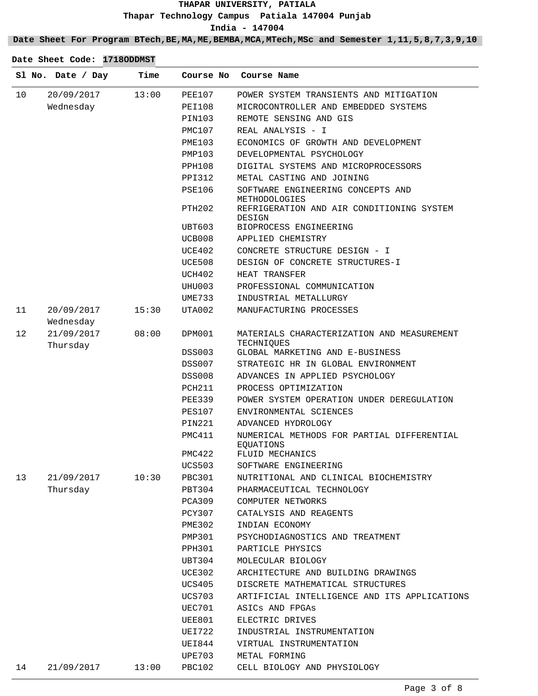**Date Sheet For Program BTech,BE,MA,ME,BEMBA,MCA,MTech,MSc and Semester 1,11,5,8,7,3,9,10**

|    | Sl No. Date / Day       | Time  | Course No          | Course Name                                                          |
|----|-------------------------|-------|--------------------|----------------------------------------------------------------------|
| 10 | 20/09/2017              | 13:00 | PEE107             | POWER SYSTEM TRANSIENTS AND MITIGATION                               |
|    | Wednesday               |       | PEI108             | MICROCONTROLLER AND EMBEDDED SYSTEMS                                 |
|    |                         |       | PIN103             | REMOTE SENSING AND GIS                                               |
|    |                         |       | PMC107             | REAL ANALYSIS - I                                                    |
|    |                         |       | PME103             | ECONOMICS OF GROWTH AND DEVELOPMENT                                  |
|    |                         |       | PMP103             | DEVELOPMENTAL PSYCHOLOGY                                             |
|    |                         |       | PPH108             | DIGITAL SYSTEMS AND MICROPROCESSORS                                  |
|    |                         |       | <b>PPI312</b>      | METAL CASTING AND JOINING                                            |
|    |                         |       | PSE106             | SOFTWARE ENGINEERING CONCEPTS AND                                    |
|    |                         |       | PTH <sub>202</sub> | METHODOLOGIES<br>REFRIGERATION AND AIR CONDITIONING SYSTEM<br>DESIGN |
|    |                         |       | UBT603             | BIOPROCESS ENGINEERING                                               |
|    |                         |       | UCB008             | APPLIED CHEMISTRY                                                    |
|    |                         |       | UCE402             | CONCRETE STRUCTURE DESIGN - I                                        |
|    |                         |       | UCE508             | DESIGN OF CONCRETE STRUCTURES-I                                      |
|    |                         |       | UCH402             | HEAT TRANSFER                                                        |
|    |                         |       | UHU003             | PROFESSIONAL COMMUNICATION                                           |
|    |                         |       | UME733             | INDUSTRIAL METALLURGY                                                |
| 11 | 20/09/2017              | 15:30 | UTA002             | MANUFACTURING PROCESSES                                              |
| 12 | Wednesday<br>21/09/2017 | 08:00 | DPM001             | MATERIALS CHARACTERIZATION AND MEASUREMENT                           |
|    | Thursday                |       |                    | TECHNIQUES                                                           |
|    |                         |       | <b>DSS003</b>      | GLOBAL MARKETING AND E-BUSINESS                                      |
|    |                         |       | DSS007             | STRATEGIC HR IN GLOBAL ENVIRONMENT                                   |
|    |                         |       | <b>DSS008</b>      | ADVANCES IN APPLIED PSYCHOLOGY                                       |
|    |                         |       | PCH211             | PROCESS OPTIMIZATION                                                 |
|    |                         |       | <b>PEE339</b>      | POWER SYSTEM OPERATION UNDER DEREGULATION                            |
|    |                         |       | <b>PES107</b>      | ENVIRONMENTAL SCIENCES                                               |
|    |                         |       | PIN221             | ADVANCED HYDROLOGY                                                   |
|    |                         |       | PMC411             | NUMERICAL METHODS FOR PARTIAL DIFFERENTIAL<br>EOUATIONS              |
|    |                         |       | PMC422             | FLUID MECHANICS                                                      |
|    |                         |       | <b>UCS503</b>      | SOFTWARE ENGINEERING                                                 |
| 13 | 21/09/2017              | 10:30 | PBC301             | NUTRITIONAL AND CLINICAL BIOCHEMISTRY                                |
|    | Thursday                |       | PBT304             | PHARMACEUTICAL TECHNOLOGY                                            |
|    |                         |       | PCA309             | COMPUTER NETWORKS                                                    |
|    |                         |       | PCY307             | CATALYSIS AND REAGENTS                                               |
|    |                         |       | <b>PME302</b>      | INDIAN ECONOMY                                                       |
|    |                         |       | PMP301             | PSYCHODIAGNOSTICS AND TREATMENT                                      |
|    |                         |       | PPH301             | PARTICLE PHYSICS                                                     |
|    |                         |       | UBT304             | MOLECULAR BIOLOGY                                                    |
|    |                         |       | <b>UCE302</b>      | ARCHITECTURE AND BUILDING DRAWINGS                                   |
|    |                         |       | UCS405             | DISCRETE MATHEMATICAL STRUCTURES                                     |
|    |                         |       | <b>UCS703</b>      | ARTIFICIAL INTELLIGENCE AND ITS APPLICATIONS                         |
|    |                         |       | UEC701             | ASICS AND FPGAS                                                      |
|    |                         |       | UEE801             | ELECTRIC DRIVES                                                      |
|    |                         |       | UEI722             | INDUSTRIAL INSTRUMENTATION                                           |
|    |                         |       | UEI844             | VIRTUAL INSTRUMENTATION                                              |
|    |                         |       | <b>UPE703</b>      | METAL FORMING                                                        |
| 14 | 21/09/2017              | 13:00 | PBC102             | CELL BIOLOGY AND PHYSIOLOGY                                          |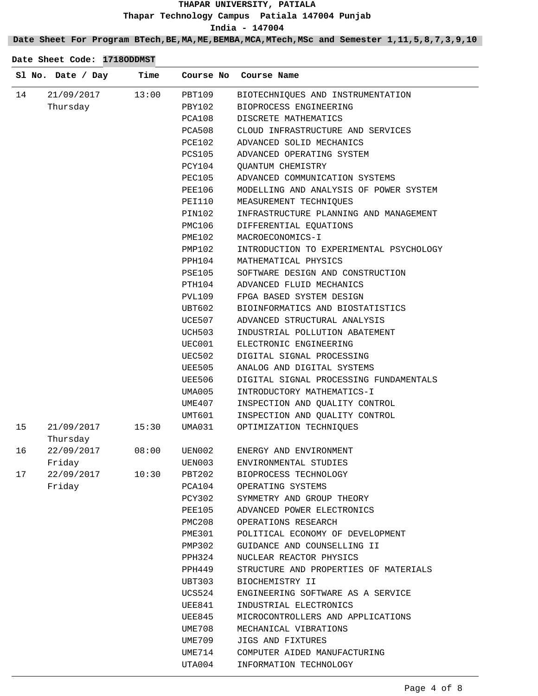## **Date Sheet For Program BTech,BE,MA,ME,BEMBA,MCA,MTech,MSc and Semester 1,11,5,8,7,3,9,10**

|    | Sl No. Date / Day      | Time  | Course No     | Course Name                             |
|----|------------------------|-------|---------------|-----------------------------------------|
| 14 | 21/09/2017             | 13:00 | PBT109        | BIOTECHNIQUES AND INSTRUMENTATION       |
|    | Thursday               |       | PBY102        | BIOPROCESS ENGINEERING                  |
|    |                        |       | PCA108        | DISCRETE MATHEMATICS                    |
|    |                        |       | PCA508        | CLOUD INFRASTRUCTURE AND SERVICES       |
|    |                        |       | PCE102        | ADVANCED SOLID MECHANICS                |
|    |                        |       | <b>PCS105</b> | ADVANCED OPERATING SYSTEM               |
|    |                        |       | PCY104        | <b>QUANTUM CHEMISTRY</b>                |
|    |                        |       | PEC105        | ADVANCED COMMUNICATION SYSTEMS          |
|    |                        |       | PEE106        | MODELLING AND ANALYSIS OF POWER SYSTEM  |
|    |                        |       | PEI110        | MEASUREMENT TECHNIQUES                  |
|    |                        |       | PIN102        | INFRASTRUCTURE PLANNING AND MANAGEMENT  |
|    |                        |       | PMC106        | DIFFERENTIAL EQUATIONS                  |
|    |                        |       | PME102        | MACROECONOMICS-I                        |
|    |                        |       | PMP102        | INTRODUCTION TO EXPERIMENTAL PSYCHOLOGY |
|    |                        |       | PPH104        | MATHEMATICAL PHYSICS                    |
|    |                        |       | PSE105        | SOFTWARE DESIGN AND CONSTRUCTION        |
|    |                        |       | PTH104        | ADVANCED FLUID MECHANICS                |
|    |                        |       | PVL109        | FPGA BASED SYSTEM DESIGN                |
|    |                        |       | UBT602        | BIOINFORMATICS AND BIOSTATISTICS        |
|    |                        |       | UCE507        | ADVANCED STRUCTURAL ANALYSIS            |
|    |                        |       | UCH503        | INDUSTRIAL POLLUTION ABATEMENT          |
|    |                        |       | UEC001        | ELECTRONIC ENGINEERING                  |
|    |                        |       | UEC502        | DIGITAL SIGNAL PROCESSING               |
|    |                        |       | UEE505        | ANALOG AND DIGITAL SYSTEMS              |
|    |                        |       | UEE506        | DIGITAL SIGNAL PROCESSING FUNDAMENTALS  |
|    |                        |       | UMA005        | INTRODUCTORY MATHEMATICS-I              |
|    |                        |       | UME407        | INSPECTION AND QUALITY CONTROL          |
|    |                        |       | UMT601        | INSPECTION AND QUALITY CONTROL          |
| 15 | 21/09/2017<br>Thursday | 15:30 | UMA031        | OPTIMIZATION TECHNIQUES                 |
| 16 | 22/09/2017             | 08:00 | UEN002        | ENERGY AND ENVIRONMENT                  |
|    | Friday                 |       | UEN003        | ENVIRONMENTAL STUDIES                   |
| 17 | 22/09/2017             | 10:30 | PBT202        | BIOPROCESS TECHNOLOGY                   |
|    | Friday                 |       | PCA104        | OPERATING SYSTEMS                       |
|    |                        |       | PCY302        | SYMMETRY AND GROUP THEORY               |
|    |                        |       | PEE105        | ADVANCED POWER ELECTRONICS              |
|    |                        |       | PMC208        | OPERATIONS RESEARCH                     |
|    |                        |       | PME301        | POLITICAL ECONOMY OF DEVELOPMENT        |
|    |                        |       | <b>PMP302</b> | GUIDANCE AND COUNSELLING II             |
|    |                        |       | PPH324        | NUCLEAR REACTOR PHYSICS                 |
|    |                        |       | PPH449        | STRUCTURE AND PROPERTIES OF MATERIALS   |
|    |                        |       | UBT303        | BIOCHEMISTRY II                         |
|    |                        |       | UCS524        | ENGINEERING SOFTWARE AS A SERVICE       |
|    |                        |       | UEE841        | INDUSTRIAL ELECTRONICS                  |
|    |                        |       | UEE845        | MICROCONTROLLERS AND APPLICATIONS       |
|    |                        |       | UME708        | MECHANICAL VIBRATIONS                   |
|    |                        |       | UME709        | JIGS AND FIXTURES                       |
|    |                        |       | UME714        | COMPUTER AIDED MANUFACTURING            |
|    |                        |       | UTA004        | INFORMATION TECHNOLOGY                  |
|    |                        |       |               |                                         |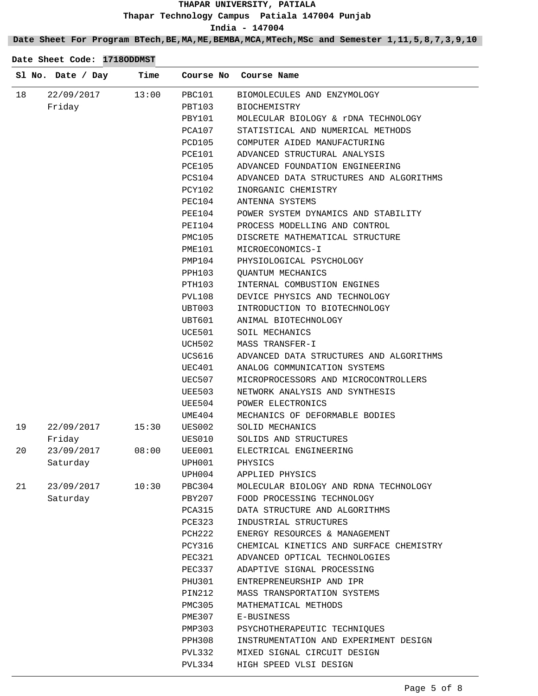**Date Sheet For Program BTech,BE,MA,ME,BEMBA,MCA,MTech,MSc and Semester 1,11,5,8,7,3,9,10**

|    | Sl No. Date / Day | Time  | Course No | Course Name                             |
|----|-------------------|-------|-----------|-----------------------------------------|
| 18 | 22/09/2017        | 13:00 | PBC101    | BIOMOLECULES AND ENZYMOLOGY             |
|    | Friday            |       | PBT103    | BIOCHEMISTRY                            |
|    |                   |       | PBY101    | MOLECULAR BIOLOGY & rDNA TECHNOLOGY     |
|    |                   |       | PCA107    | STATISTICAL AND NUMERICAL METHODS       |
|    |                   |       | PCD105    | COMPUTER AIDED MANUFACTURING            |
|    |                   |       | PCE101    | ADVANCED STRUCTURAL ANALYSIS            |
|    |                   |       | PCE105    | ADVANCED FOUNDATION ENGINEERING         |
|    |                   |       | PCS104    | ADVANCED DATA STRUCTURES AND ALGORITHMS |
|    |                   |       | PCY102    | INORGANIC CHEMISTRY                     |
|    |                   |       | PEC104    | ANTENNA SYSTEMS                         |
|    |                   |       | PEE104    | POWER SYSTEM DYNAMICS AND STABILITY     |
|    |                   |       | PEI104    | PROCESS MODELLING AND CONTROL           |
|    |                   |       | PMC105    | DISCRETE MATHEMATICAL STRUCTURE         |
|    |                   |       | PME101    | MICROECONOMICS-I                        |
|    |                   |       | PMP104    | PHYSIOLOGICAL PSYCHOLOGY                |
|    |                   |       | PPH103    | <b>QUANTUM MECHANICS</b>                |
|    |                   |       | PTH103    | INTERNAL COMBUSTION ENGINES             |
|    |                   |       | PVL108    | DEVICE PHYSICS AND TECHNOLOGY           |
|    |                   |       | UBT003    | INTRODUCTION TO BIOTECHNOLOGY           |
|    |                   |       | UBT601    | ANIMAL BIOTECHNOLOGY                    |
|    |                   |       | UCE501    | SOIL MECHANICS                          |
|    |                   |       | UCH502    | MASS TRANSFER-I                         |
|    |                   |       | UCS616    | ADVANCED DATA STRUCTURES AND ALGORITHMS |
|    |                   |       | UEC401    | ANALOG COMMUNICATION SYSTEMS            |
|    |                   |       | UEC507    | MICROPROCESSORS AND MICROCONTROLLERS    |
|    |                   |       | UEE503    | NETWORK ANALYSIS AND SYNTHESIS          |
|    |                   |       | UEE504    | POWER ELECTRONICS                       |
|    |                   |       | UME404    | MECHANICS OF DEFORMABLE BODIES          |
| 19 | 22/09/2017        | 15:30 | UES002    | SOLID MECHANICS                         |
|    | Friday            |       | UES010    | SOLIDS AND STRUCTURES                   |
| 20 | 23/09/2017        | 08:00 | UEE001    | ELECTRICAL ENGINEERING                  |
|    | Saturday          |       | UPH001    | PHYSICS                                 |
|    |                   |       | UPH004    | APPLIED PHYSICS                         |
| 21 | 23/09/2017 10:30  |       | PBC304    | MOLECULAR BIOLOGY AND RDNA TECHNOLOGY   |
|    | Saturday          |       | PBY207    | FOOD PROCESSING TECHNOLOGY              |
|    |                   |       | PCA315    | DATA STRUCTURE AND ALGORITHMS           |
|    |                   |       | PCE323    | INDUSTRIAL STRUCTURES                   |
|    |                   |       | PCH222    | ENERGY RESOURCES & MANAGEMENT           |
|    |                   |       | PCY316    | CHEMICAL KINETICS AND SURFACE CHEMISTRY |
|    |                   |       | PEC321    | ADVANCED OPTICAL TECHNOLOGIES           |
|    |                   |       | PEC337    | ADAPTIVE SIGNAL PROCESSING              |
|    |                   |       | PHU301    | ENTREPRENEURSHIP AND IPR                |
|    |                   |       | PIN212    | MASS TRANSPORTATION SYSTEMS             |
|    |                   |       | PMC305    | MATHEMATICAL METHODS                    |
|    |                   |       | PME307    | E-BUSINESS                              |
|    |                   |       | PMP303    | PSYCHOTHERAPEUTIC TECHNIQUES            |
|    |                   |       | PPH308    | INSTRUMENTATION AND EXPERIMENT DESIGN   |
|    |                   |       | PVL332    | MIXED SIGNAL CIRCUIT DESIGN             |
|    |                   |       | PVL334    | HIGH SPEED VLSI DESIGN                  |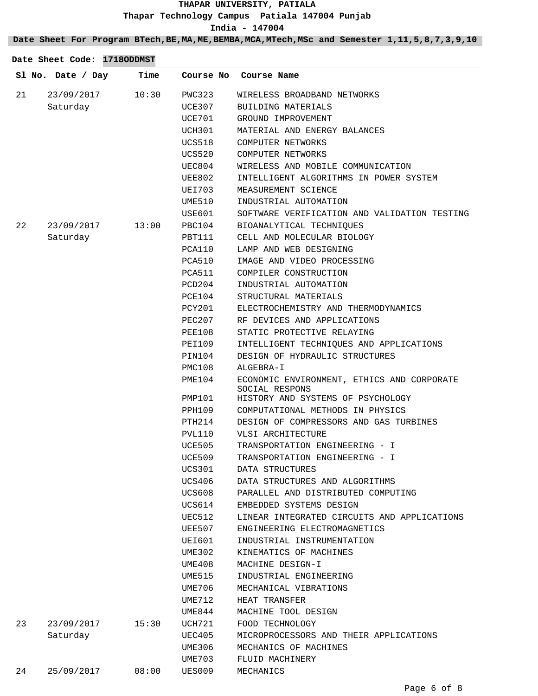**Date Sheet For Program BTech,BE,MA,ME,BEMBA,MCA,MTech,MSc and Semester 1,11,5,8,7,3,9,10**

|    | Sl No. Date / Day | Time  | Course No     | Course Name                                                  |
|----|-------------------|-------|---------------|--------------------------------------------------------------|
| 21 | 23/09/2017        | 10:30 | PWC323        | WIRELESS BROADBAND NETWORKS                                  |
|    | Saturday          |       | UCE307        | BUILDING MATERIALS                                           |
|    |                   |       | <b>UCE701</b> | GROUND IMPROVEMENT                                           |
|    |                   |       | UCH301        | MATERIAL AND ENERGY BALANCES                                 |
|    |                   |       | <b>UCS518</b> | COMPUTER NETWORKS                                            |
|    |                   |       | <b>UCS520</b> | COMPUTER NETWORKS                                            |
|    |                   |       | UEC804        | WIRELESS AND MOBILE COMMUNICATION                            |
|    |                   |       | <b>UEE802</b> | INTELLIGENT ALGORITHMS IN POWER SYSTEM                       |
|    |                   |       | UEI703        | MEASUREMENT SCIENCE                                          |
|    |                   |       | UME510        | INDUSTRIAL AUTOMATION                                        |
|    |                   |       | USE601        | SOFTWARE VERIFICATION AND VALIDATION TESTING                 |
| 22 | 23/09/2017        | 13:00 | PBC104        | BIOANALYTICAL TECHNIQUES                                     |
|    | Saturday          |       | PBT111        | CELL AND MOLECULAR BIOLOGY                                   |
|    |                   |       | PCA110        | LAMP AND WEB DESIGNING                                       |
|    |                   |       | PCA510        | IMAGE AND VIDEO PROCESSING                                   |
|    |                   |       | PCA511        | COMPILER CONSTRUCTION                                        |
|    |                   |       | PCD204        | INDUSTRIAL AUTOMATION                                        |
|    |                   |       | PCE104        | STRUCTURAL MATERIALS                                         |
|    |                   |       | PCY201        | ELECTROCHEMISTRY AND THERMODYNAMICS                          |
|    |                   |       | PEC207        | RF DEVICES AND APPLICATIONS                                  |
|    |                   |       | PEE108        | STATIC PROTECTIVE RELAYING                                   |
|    |                   |       | PEI109        | INTELLIGENT TECHNIQUES AND APPLICATIONS                      |
|    |                   |       | PIN104        | DESIGN OF HYDRAULIC STRUCTURES                               |
|    |                   |       | PMC108        | ALGEBRA-I                                                    |
|    |                   |       | PME104        | ECONOMIC ENVIRONMENT, ETHICS AND CORPORATE<br>SOCIAL RESPONS |
|    |                   |       | <b>PMP101</b> | HISTORY AND SYSTEMS OF PSYCHOLOGY                            |
|    |                   |       | PPH109        | COMPUTATIONAL METHODS IN PHYSICS                             |
|    |                   |       | PTH214        | DESIGN OF COMPRESSORS AND GAS TURBINES                       |
|    |                   |       | PVL110        | VLSI ARCHITECTURE                                            |
|    |                   |       | UCE505        | TRANSPORTATION ENGINEERING - I                               |
|    |                   |       | UCE509        | TRANSPORTATION ENGINEERING - I                               |
|    |                   |       | <b>UCS301</b> | DATA STRUCTURES                                              |
|    |                   |       | UCS406        | DATA STRUCTURES AND ALGORITHMS                               |
|    |                   |       | <b>UCS608</b> | PARALLEL AND DISTRIBUTED COMPUTING                           |
|    |                   |       | UCS614        | EMBEDDED SYSTEMS DESIGN                                      |
|    |                   |       | UEC512        | LINEAR INTEGRATED CIRCUITS AND APPLICATIONS                  |
|    |                   |       | UEE507        | ENGINEERING ELECTROMAGNETICS                                 |
|    |                   |       | UEI601        | INDUSTRIAL INSTRUMENTATION                                   |
|    |                   |       | UME302        | KINEMATICS OF MACHINES                                       |
|    |                   |       | UME408        | MACHINE DESIGN-I                                             |
|    |                   |       | <b>UME515</b> | INDUSTRIAL ENGINEERING                                       |
|    |                   |       | UME706        | MECHANICAL VIBRATIONS                                        |
|    |                   |       | UME712        | HEAT TRANSFER                                                |
|    |                   |       | UME844        | MACHINE TOOL DESIGN                                          |
| 23 | 23/09/2017        | 15:30 | UCH721        | FOOD TECHNOLOGY                                              |
|    | Saturday          |       | <b>UEC405</b> | MICROPROCESSORS AND THEIR APPLICATIONS                       |
|    |                   |       | UME306        | MECHANICS OF MACHINES                                        |
|    |                   |       | UME703        | FLUID MACHINERY                                              |
| 24 | 25/09/2017        | 08:00 | UES009        | MECHANICS                                                    |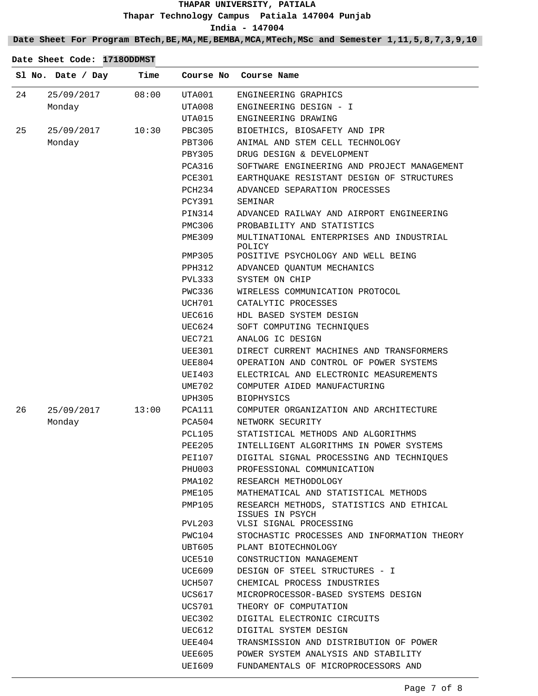**Date Sheet For Program BTech,BE,MA,ME,BEMBA,MCA,MTech,MSc and Semester 1,11,5,8,7,3,9,10**

|    | Sl No. Date / Day | Time  | Course No     | Course Name                                                 |
|----|-------------------|-------|---------------|-------------------------------------------------------------|
| 24 | 25/09/2017        | 08:00 | UTA001        | ENGINEERING GRAPHICS                                        |
|    | Monday            |       | UTA008        | ENGINEERING DESIGN - I                                      |
|    |                   |       | UTA015        | ENGINEERING DRAWING                                         |
| 25 | 25/09/2017        | 10:30 | <b>PBC305</b> | BIOETHICS, BIOSAFETY AND IPR                                |
|    | Monday            |       | PBT306        | ANIMAL AND STEM CELL TECHNOLOGY                             |
|    |                   |       | <b>PBY305</b> | DRUG DESIGN & DEVELOPMENT                                   |
|    |                   |       | <b>PCA316</b> | SOFTWARE ENGINEERING AND PROJECT MANAGEMENT                 |
|    |                   |       | PCE301        | EARTHQUAKE RESISTANT DESIGN OF STRUCTURES                   |
|    |                   |       | PCH234        | ADVANCED SEPARATION PROCESSES                               |
|    |                   |       | <b>PCY391</b> | SEMINAR                                                     |
|    |                   |       | PIN314        | ADVANCED RAILWAY AND AIRPORT ENGINEERING                    |
|    |                   |       | PMC306        | PROBABILITY AND STATISTICS                                  |
|    |                   |       | <b>PME309</b> | MULTINATIONAL ENTERPRISES AND INDUSTRIAL<br>POLICY          |
|    |                   |       | PMP305        | POSITIVE PSYCHOLOGY AND WELL BEING                          |
|    |                   |       | PPH312        | ADVANCED QUANTUM MECHANICS                                  |
|    |                   |       | PVL333        | SYSTEM ON CHIP                                              |
|    |                   |       | PWC336        | WIRELESS COMMUNICATION PROTOCOL                             |
|    |                   |       | UCH701        | CATALYTIC PROCESSES                                         |
|    |                   |       | UEC616        | HDL BASED SYSTEM DESIGN                                     |
|    |                   |       | UEC624        | SOFT COMPUTING TECHNIQUES                                   |
|    |                   |       | UEC721        | ANALOG IC DESIGN                                            |
|    |                   |       | <b>UEE301</b> | DIRECT CURRENT MACHINES AND TRANSFORMERS                    |
|    |                   |       | UEE804        | OPERATION AND CONTROL OF POWER SYSTEMS                      |
|    |                   |       | UEI403        | ELECTRICAL AND ELECTRONIC MEASUREMENTS                      |
|    |                   |       | UME702        | COMPUTER AIDED MANUFACTURING                                |
|    |                   |       | <b>UPH305</b> | <b>BIOPHYSICS</b>                                           |
| 26 | 25/09/2017        | 13:00 | PCA111        | COMPUTER ORGANIZATION AND ARCHITECTURE                      |
|    | Monday            |       | PCA504        | NETWORK SECURITY                                            |
|    |                   |       | PCL105        | STATISTICAL METHODS AND ALGORITHMS                          |
|    |                   |       | <b>PEE205</b> | INTELLIGENT ALGORITHMS IN POWER SYSTEMS                     |
|    |                   |       | PEI107        | DIGITAL SIGNAL PROCESSING AND TECHNIQUES                    |
|    |                   |       | PHU003        | PROFESSIONAL COMMUNICATION                                  |
|    |                   |       | PMA102        | RESEARCH METHODOLOGY                                        |
|    |                   |       | PME105        | MATHEMATICAL AND STATISTICAL METHODS                        |
|    |                   |       | PMP105        | RESEARCH METHODS, STATISTICS AND ETHICAL<br>ISSUES IN PSYCH |
|    |                   |       | PVL203        | VLSI SIGNAL PROCESSING                                      |
|    |                   |       | PWC104        | STOCHASTIC PROCESSES AND INFORMATION THEORY                 |
|    |                   |       | UBT605        | PLANT BIOTECHNOLOGY                                         |
|    |                   |       | UCE510        | CONSTRUCTION MANAGEMENT                                     |
|    |                   |       | UCE609        | DESIGN OF STEEL STRUCTURES - I                              |
|    |                   |       | UCH507        | CHEMICAL PROCESS INDUSTRIES                                 |
|    |                   |       | UCS617        | MICROPROCESSOR-BASED SYSTEMS DESIGN                         |
|    |                   |       | UCS701        | THEORY OF COMPUTATION                                       |
|    |                   |       | UEC302        | DIGITAL ELECTRONIC CIRCUITS                                 |
|    |                   |       | UEC612        | DIGITAL SYSTEM DESIGN                                       |
|    |                   |       | UEE404        | TRANSMISSION AND DISTRIBUTION OF POWER                      |
|    |                   |       | UEE605        | POWER SYSTEM ANALYSIS AND STABILITY                         |
|    |                   |       | UEI609        | FUNDAMENTALS OF MICROPROCESSORS AND                         |